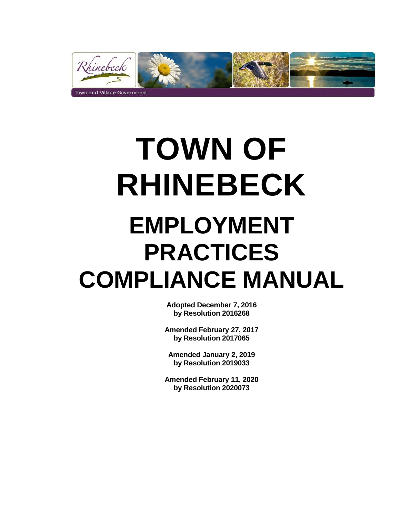

# **TOWN OF RHINEBECK EMPLOYMENT PRACTICES COMPLIANCE MANUAL**

**Adopted December 7, 2016 by Resolution 2016268**

**Amended February 27, 2017 by Resolution 2017065**

**Amended January 2, 2019 by Resolution 2019033**

**Amended February 11, 2020 by Resolution 2020073**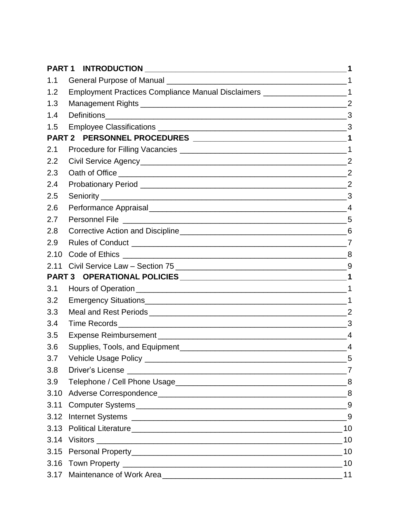| PART <sub>1</sub> | <b>INTRODUCTION</b><br><u> 1989 - Jan Bernard Bernard, menyebaratan banyak berasal dalam pada tahun 1980 - Perangai Perangai Perangai Pe</u> | 1              |
|-------------------|----------------------------------------------------------------------------------------------------------------------------------------------|----------------|
| 1.1               |                                                                                                                                              |                |
| 1.2               | Employment Practices Compliance Manual Disclaimers ___________________________1                                                              |                |
| 1.3               |                                                                                                                                              |                |
| 1.4               |                                                                                                                                              |                |
| 1.5               |                                                                                                                                              |                |
|                   |                                                                                                                                              |                |
| 2.1               |                                                                                                                                              |                |
| 2.2               |                                                                                                                                              |                |
| 2.3               |                                                                                                                                              |                |
| 2.4               |                                                                                                                                              | $\overline{2}$ |
| 2.5               |                                                                                                                                              | 3              |
| 2.6               |                                                                                                                                              |                |
| 2.7               |                                                                                                                                              |                |
| 2.8               |                                                                                                                                              |                |
| 2.9               |                                                                                                                                              |                |
| 2.10              |                                                                                                                                              |                |
| 2.11              |                                                                                                                                              |                |
|                   |                                                                                                                                              |                |
| 3.1               |                                                                                                                                              |                |
| 3.2               |                                                                                                                                              |                |
| 3.3               |                                                                                                                                              | $\overline{2}$ |
| 3.4               |                                                                                                                                              | 3              |
| 3.5               |                                                                                                                                              |                |
| 3.6               |                                                                                                                                              | $\overline{4}$ |
| 3.7               |                                                                                                                                              |                |
| 3.8               |                                                                                                                                              |                |
| 3.9               |                                                                                                                                              |                |
|                   |                                                                                                                                              |                |
|                   |                                                                                                                                              |                |
|                   |                                                                                                                                              |                |
|                   |                                                                                                                                              |                |
|                   |                                                                                                                                              |                |
|                   |                                                                                                                                              |                |
|                   |                                                                                                                                              |                |
|                   | 3.17 Maintenance of Work Area                                                                                                                |                |
|                   |                                                                                                                                              |                |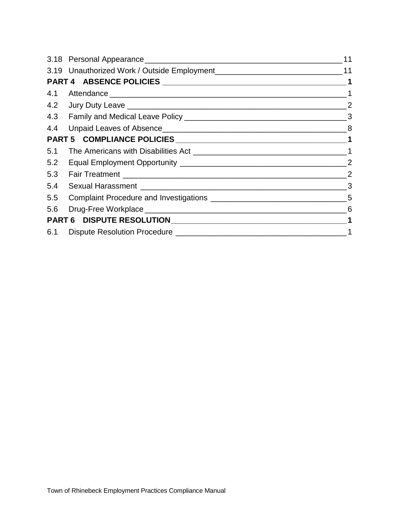|     |  | 11       |
|-----|--|----------|
|     |  |          |
|     |  |          |
|     |  |          |
|     |  |          |
|     |  |          |
|     |  |          |
|     |  |          |
|     |  |          |
|     |  |          |
|     |  |          |
| 5.4 |  |          |
|     |  |          |
|     |  |          |
|     |  |          |
|     |  | $\sim$ 1 |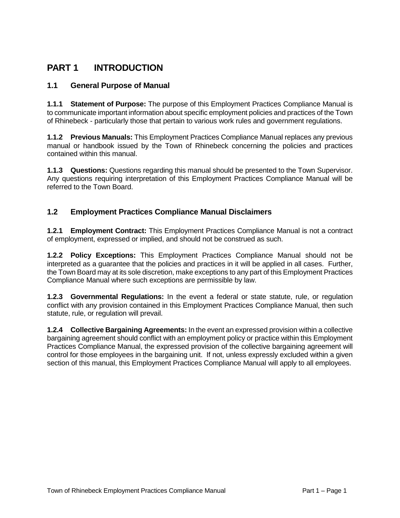## **PART 1 INTRODUCTION**

#### **1.1 General Purpose of Manual**

**1.1.1 Statement of Purpose:** The purpose of this Employment Practices Compliance Manual is to communicate important information about specific employment policies and practices of the Town of Rhinebeck - particularly those that pertain to various work rules and government regulations.

**1.1.2 Previous Manuals:** This Employment Practices Compliance Manual replaces any previous manual or handbook issued by the Town of Rhinebeck concerning the policies and practices contained within this manual.

**1.1.3 Questions:** Questions regarding this manual should be presented to the Town Supervisor. Any questions requiring interpretation of this Employment Practices Compliance Manual will be referred to the Town Board.

#### **1.2 Employment Practices Compliance Manual Disclaimers**

**1.2.1 Employment Contract:** This Employment Practices Compliance Manual is not a contract of employment, expressed or implied, and should not be construed as such.

**1.2.2 Policy Exceptions:** This Employment Practices Compliance Manual should not be interpreted as a guarantee that the policies and practices in it will be applied in all cases. Further, the Town Board may at its sole discretion, make exceptions to any part of this Employment Practices Compliance Manual where such exceptions are permissible by law.

**1.2.3 Governmental Regulations:** In the event a federal or state statute, rule, or regulation conflict with any provision contained in this Employment Practices Compliance Manual, then such statute, rule, or regulation will prevail.

**1.2.4 Collective Bargaining Agreements:** In the event an expressed provision within a collective bargaining agreement should conflict with an employment policy or practice within this Employment Practices Compliance Manual, the expressed provision of the collective bargaining agreement will control for those employees in the bargaining unit. If not, unless expressly excluded within a given section of this manual, this Employment Practices Compliance Manual will apply to all employees.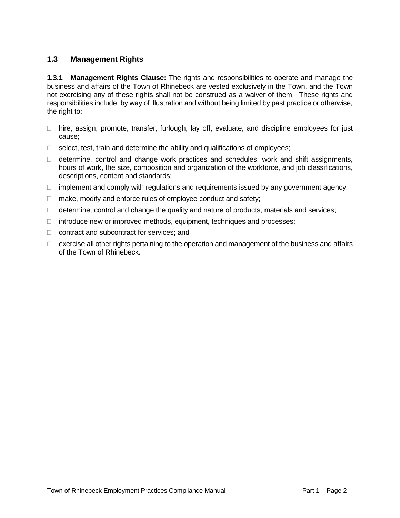#### **1.3 Management Rights**

**1.3.1 Management Rights Clause:** The rights and responsibilities to operate and manage the business and affairs of the Town of Rhinebeck are vested exclusively in the Town, and the Town not exercising any of these rights shall not be construed as a waiver of them. These rights and responsibilities include, by way of illustration and without being limited by past practice or otherwise, the right to:

- $\Box$  hire, assign, promote, transfer, furlough, lay off, evaluate, and discipline employees for just cause;
- $\Box$  select, test, train and determine the ability and qualifications of employees;
- $\Box$  determine, control and change work practices and schedules, work and shift assignments, hours of work, the size, composition and organization of the workforce, and job classifications, descriptions, content and standards;
- $\Box$  implement and comply with regulations and requirements issued by any government agency;
- $\Box$  make, modify and enforce rules of employee conduct and safety;
- $\Box$  determine, control and change the quality and nature of products, materials and services;
- $\Box$  introduce new or improved methods, equipment, techniques and processes;
- □ contract and subcontract for services; and
- $\Box$  exercise all other rights pertaining to the operation and management of the business and affairs of the Town of Rhinebeck.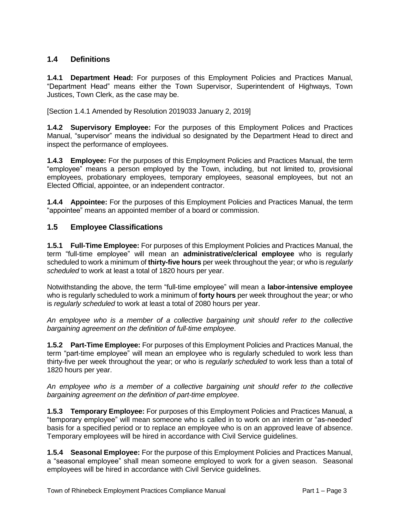#### **1.4 Definitions**

**1.4.1 Department Head:** For purposes of this Employment Policies and Practices Manual, "Department Head" means either the Town Supervisor, Superintendent of Highways, Town Justices, Town Clerk, as the case may be.

[Section 1.4.1 Amended by Resolution 2019033 January 2, 2019]

**1.4.2 Supervisory Employee:** For the purposes of this Employment Polices and Practices Manual, "supervisor" means the individual so designated by the Department Head to direct and inspect the performance of employees.

**1.4.3 Employee:** For the purposes of this Employment Policies and Practices Manual, the term "employee" means a person employed by the Town, including, but not limited to, provisional employees, probationary employees, temporary employees, seasonal employees, but not an Elected Official, appointee, or an independent contractor.

**1.4.4 Appointee:** For the purposes of this Employment Policies and Practices Manual, the term "appointee" means an appointed member of a board or commission.

#### **1.5 Employee Classifications**

**1.5.1 Full-Time Employee:** For purposes of this Employment Policies and Practices Manual, the term "full-time employee" will mean an **administrative/clerical employee** who is regularly scheduled to work a minimum of **thirty-five hours** per week throughout the year; or who is *regularly scheduled* to work at least a total of 1820 hours per year.

Notwithstanding the above, the term "full-time employee" will mean a **labor-intensive employee** who is regularly scheduled to work a minimum of **forty hours** per week throughout the year; or who is *regularly scheduled* to work at least a total of 2080 hours per year.

*An employee who is a member of a collective bargaining unit should refer to the collective bargaining agreement on the definition of full-time employee*.

**1.5.2 Part-Time Employee:** For purposes of this Employment Policies and Practices Manual, the term "part-time employee" will mean an employee who is regularly scheduled to work less than thirty-five per week throughout the year; or who is *regularly scheduled* to work less than a total of 1820 hours per year.

*An employee who is a member of a collective bargaining unit should refer to the collective bargaining agreement on the definition of part-time employee*.

**1.5.3 Temporary Employee:** For purposes of this Employment Policies and Practices Manual, a "temporary employee" will mean someone who is called in to work on an interim or "as-needed' basis for a specified period or to replace an employee who is on an approved leave of absence. Temporary employees will be hired in accordance with Civil Service guidelines.

**1.5.4 Seasonal Employee:** For the purpose of this Employment Policies and Practices Manual, a "seasonal employee" shall mean someone employed to work for a given season. Seasonal employees will be hired in accordance with Civil Service guidelines.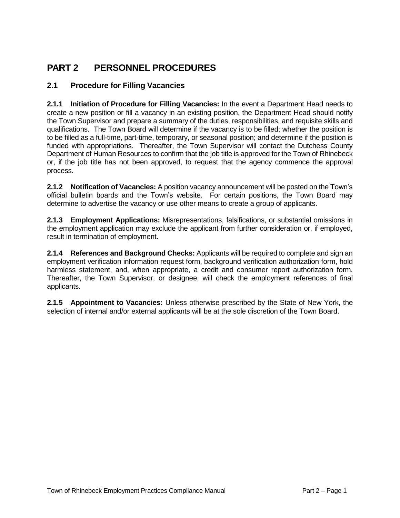## **PART 2 PERSONNEL PROCEDURES**

#### **2.1 Procedure for Filling Vacancies**

**2.1.1 Initiation of Procedure for Filling Vacancies:** In the event a Department Head needs to create a new position or fill a vacancy in an existing position, the Department Head should notify the Town Supervisor and prepare a summary of the duties, responsibilities, and requisite skills and qualifications. The Town Board will determine if the vacancy is to be filled; whether the position is to be filled as a full-time, part-time, temporary, or seasonal position; and determine if the position is funded with appropriations. Thereafter, the Town Supervisor will contact the Dutchess County Department of Human Resources to confirm that the job title is approved for the Town of Rhinebeck or, if the job title has not been approved, to request that the agency commence the approval process.

**2.1.2 Notification of Vacancies:** A position vacancy announcement will be posted on the Town's official bulletin boards and the Town's website. For certain positions, the Town Board may determine to advertise the vacancy or use other means to create a group of applicants.

**2.1.3 Employment Applications:** Misrepresentations, falsifications, or substantial omissions in the employment application may exclude the applicant from further consideration or, if employed, result in termination of employment.

**2.1.4 References and Background Checks:** Applicants will be required to complete and sign an employment verification information request form, background verification authorization form, hold harmless statement, and, when appropriate, a credit and consumer report authorization form. Thereafter, the Town Supervisor, or designee, will check the employment references of final applicants.

**2.1.5 Appointment to Vacancies:** Unless otherwise prescribed by the State of New York, the selection of internal and/or external applicants will be at the sole discretion of the Town Board.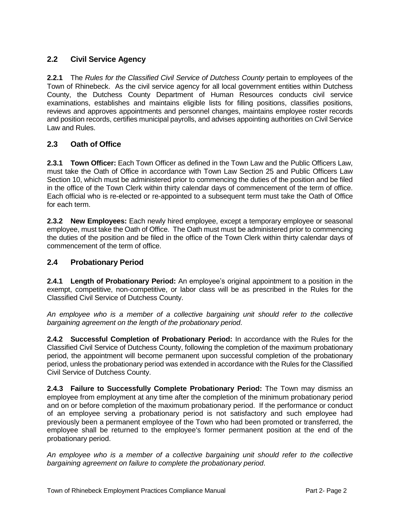#### **2.2 Civil Service Agency**

**2.2.1** The *Rules for the Classified Civil Service of Dutchess County* pertain to employees of the Town of Rhinebeck. As the civil service agency for all local government entities within Dutchess County, the Dutchess County Department of Human Resources conducts civil service examinations, establishes and maintains eligible lists for filling positions, classifies positions, reviews and approves appointments and personnel changes, maintains employee roster records and position records, certifies municipal payrolls, and advises appointing authorities on Civil Service Law and Rules.

#### **2.3 Oath of Office**

**2.3.1 Town Officer:** Each Town Officer as defined in the Town Law and the Public Officers Law, must take the Oath of Office in accordance with Town Law Section 25 and Public Officers Law Section 10, which must be administered prior to commencing the duties of the position and be filed in the office of the Town Clerk within thirty calendar days of commencement of the term of office. Each official who is re-elected or re-appointed to a subsequent term must take the Oath of Office for each term.

**2.3.2 New Employees:** Each newly hired employee, except a temporary employee or seasonal employee, must take the Oath of Office. The Oath must must be administered prior to commencing the duties of the position and be filed in the office of the Town Clerk within thirty calendar days of commencement of the term of office.

#### **2.4 Probationary Period**

**2.4.1 Length of Probationary Period:** An employee's original appointment to a position in the exempt, competitive, non-competitive, or labor class will be as prescribed in the Rules for the Classified Civil Service of Dutchess County.

*An employee who is a member of a collective bargaining unit should refer to the collective bargaining agreement on the length of the probationary period*.

**2.4.2 Successful Completion of Probationary Period:** In accordance with the Rules for the Classified Civil Service of Dutchess County, following the completion of the maximum probationary period, the appointment will become permanent upon successful completion of the probationary period, unless the probationary period was extended in accordance with the Rules for the Classified Civil Service of Dutchess County.

**2.4.3 Failure to Successfully Complete Probationary Period:** The Town may dismiss an employee from employment at any time after the completion of the minimum probationary period and on or before completion of the maximum probationary period. If the performance or conduct of an employee serving a probationary period is not satisfactory and such employee had previously been a permanent employee of the Town who had been promoted or transferred, the employee shall be returned to the employee's former permanent position at the end of the probationary period.

*An employee who is a member of a collective bargaining unit should refer to the collective bargaining agreement on failure to complete the probationary period*.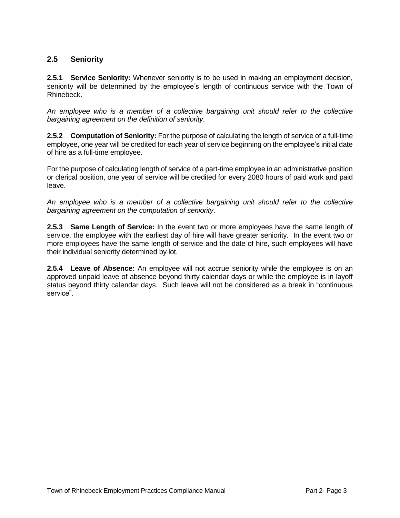#### **2.5 Seniority**

**2.5.1 Service Seniority:** Whenever seniority is to be used in making an employment decision, seniority will be determined by the employee's length of continuous service with the Town of Rhinebeck.

*An employee who is a member of a collective bargaining unit should refer to the collective bargaining agreement on the definition of seniority*.

**2.5.2 Computation of Seniority:** For the purpose of calculating the length of service of a full-time employee, one year will be credited for each year of service beginning on the employee's initial date of hire as a full-time employee.

For the purpose of calculating length of service of a part-time employee in an administrative position or clerical position, one year of service will be credited for every 2080 hours of paid work and paid leave.

*An employee who is a member of a collective bargaining unit should refer to the collective bargaining agreement on the computation of seniority*.

**2.5.3 Same Length of Service:** In the event two or more employees have the same length of service, the employee with the earliest day of hire will have greater seniority. In the event two or more employees have the same length of service and the date of hire, such employees will have their individual seniority determined by lot.

**2.5.4 Leave of Absence:** An employee will not accrue seniority while the employee is on an approved unpaid leave of absence beyond thirty calendar days or while the employee is in layoff status beyond thirty calendar days. Such leave will not be considered as a break in "continuous service".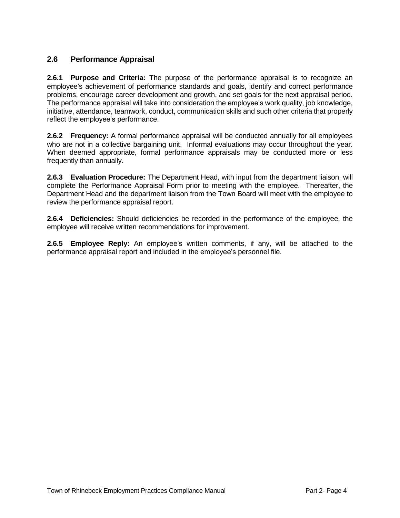#### **2.6 Performance Appraisal**

**2.6.1 Purpose and Criteria:** The purpose of the performance appraisal is to recognize an employee's achievement of performance standards and goals, identify and correct performance problems, encourage career development and growth, and set goals for the next appraisal period. The performance appraisal will take into consideration the employee's work quality, job knowledge, initiative, attendance, teamwork, conduct, communication skills and such other criteria that properly reflect the employee's performance.

**2.6.2 Frequency:** A formal performance appraisal will be conducted annually for all employees who are not in a collective bargaining unit. Informal evaluations may occur throughout the year. When deemed appropriate, formal performance appraisals may be conducted more or less frequently than annually.

**2.6.3 Evaluation Procedure:** The Department Head, with input from the department liaison, will complete the Performance Appraisal Form prior to meeting with the employee. Thereafter, the Department Head and the department liaison from the Town Board will meet with the employee to review the performance appraisal report.

**2.6.4 Deficiencies:** Should deficiencies be recorded in the performance of the employee, the employee will receive written recommendations for improvement.

**2.6.5 Employee Reply:** An employee's written comments, if any, will be attached to the performance appraisal report and included in the employee's personnel file.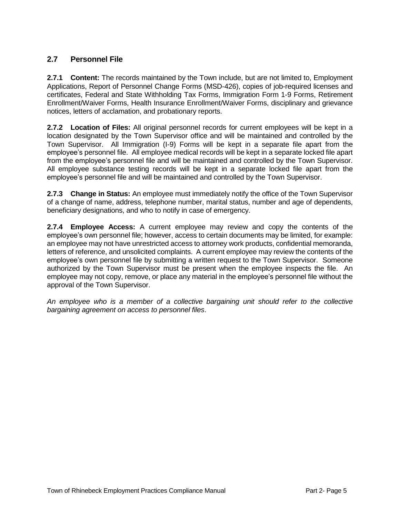#### **2.7 Personnel File**

**2.7.1 Content:** The records maintained by the Town include, but are not limited to, Employment Applications, Report of Personnel Change Forms (MSD-426), copies of job-required licenses and certificates, Federal and State Withholding Tax Forms, Immigration Form 1-9 Forms, Retirement Enrollment/Waiver Forms, Health Insurance Enrollment/Waiver Forms, disciplinary and grievance notices, letters of acclamation, and probationary reports.

**2.7.2 Location of Files:** All original personnel records for current employees will be kept in a location designated by the Town Supervisor office and will be maintained and controlled by the Town Supervisor. All Immigration (I-9) Forms will be kept in a separate file apart from the employee's personnel file. All employee medical records will be kept in a separate locked file apart from the employee's personnel file and will be maintained and controlled by the Town Supervisor. All employee substance testing records will be kept in a separate locked file apart from the employee's personnel file and will be maintained and controlled by the Town Supervisor.

**2.7.3 Change in Status:** An employee must immediately notify the office of the Town Supervisor of a change of name, address, telephone number, marital status, number and age of dependents, beneficiary designations, and who to notify in case of emergency.

**2.7.4 Employee Access:** A current employee may review and copy the contents of the employee's own personnel file; however, access to certain documents may be limited, for example: an employee may not have unrestricted access to attorney work products, confidential memoranda, letters of reference, and unsolicited complaints. A current employee may review the contents of the employee's own personnel file by submitting a written request to the Town Supervisor. Someone authorized by the Town Supervisor must be present when the employee inspects the file. An employee may not copy, remove, or place any material in the employee's personnel file without the approval of the Town Supervisor.

*An employee who is a member of a collective bargaining unit should refer to the collective bargaining agreement on access to personnel files*.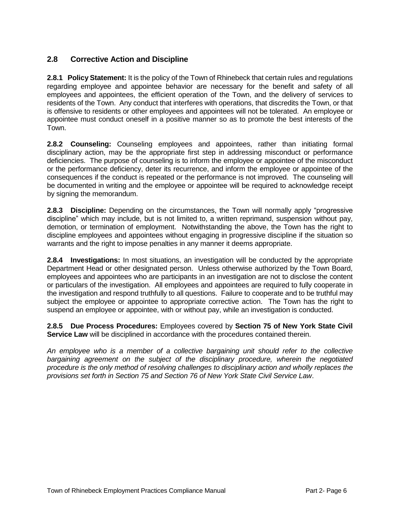#### **2.8 Corrective Action and Discipline**

**2.8.1 Policy Statement:** It is the policy of the Town of Rhinebeck that certain rules and regulations regarding employee and appointee behavior are necessary for the benefit and safety of all employees and appointees, the efficient operation of the Town, and the delivery of services to residents of the Town. Any conduct that interferes with operations, that discredits the Town, or that is offensive to residents or other employees and appointees will not be tolerated. An employee or appointee must conduct oneself in a positive manner so as to promote the best interests of the Town.

**2.8.2 Counseling:** Counseling employees and appointees, rather than initiating formal disciplinary action, may be the appropriate first step in addressing misconduct or performance deficiencies. The purpose of counseling is to inform the employee or appointee of the misconduct or the performance deficiency, deter its recurrence, and inform the employee or appointee of the consequences if the conduct is repeated or the performance is not improved. The counseling will be documented in writing and the employee or appointee will be required to acknowledge receipt by signing the memorandum.

**2.8.3 Discipline:** Depending on the circumstances, the Town will normally apply "progressive discipline" which may include, but is not limited to, a written reprimand, suspension without pay, demotion, or termination of employment. Notwithstanding the above, the Town has the right to discipline employees and appointees without engaging in progressive discipline if the situation so warrants and the right to impose penalties in any manner it deems appropriate.

**2.8.4 Investigations:** In most situations, an investigation will be conducted by the appropriate Department Head or other designated person. Unless otherwise authorized by the Town Board, employees and appointees who are participants in an investigation are not to disclose the content or particulars of the investigation. All employees and appointees are required to fully cooperate in the investigation and respond truthfully to all questions. Failure to cooperate and to be truthful may subject the employee or appointee to appropriate corrective action. The Town has the right to suspend an employee or appointee, with or without pay, while an investigation is conducted.

**2.8.5 Due Process Procedures:** Employees covered by **Section 75 of New York State Civil Service Law** will be disciplined in accordance with the procedures contained therein.

*An employee who is a member of a collective bargaining unit should refer to the collective bargaining agreement on the subject of the disciplinary procedure, wherein the negotiated procedure is the only method of resolving challenges to disciplinary action and wholly replaces the provisions set forth in Section 75 and Section 76 of New York State Civil Service Law*.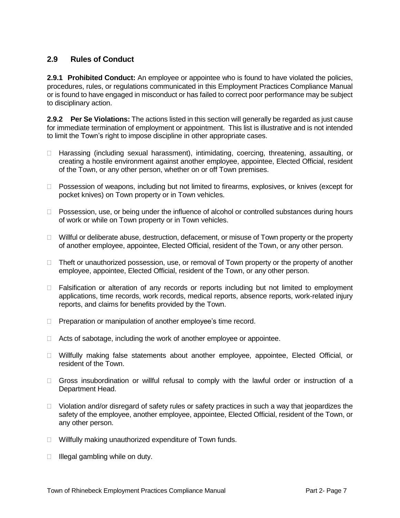#### **2.9 Rules of Conduct**

**2.9.1 Prohibited Conduct:** An employee or appointee who is found to have violated the policies, procedures, rules, or regulations communicated in this Employment Practices Compliance Manual or is found to have engaged in misconduct or has failed to correct poor performance may be subject to disciplinary action.

**2.9.2 Per Se Violations:** The actions listed in this section will generally be regarded as just cause for immediate termination of employment or appointment. This list is illustrative and is not intended to limit the Town's right to impose discipline in other appropriate cases.

- □ Harassing (including sexual harassment), intimidating, coercing, threatening, assaulting, or creating a hostile environment against another employee, appointee, Elected Official, resident of the Town, or any other person, whether on or off Town premises.
- □ Possession of weapons, including but not limited to firearms, explosives, or knives (except for pocket knives) on Town property or in Town vehicles.
- $\Box$  Possession, use, or being under the influence of alcohol or controlled substances during hours of work or while on Town property or in Town vehicles.
- $\Box$  Willful or deliberate abuse, destruction, defacement, or misuse of Town property or the property of another employee, appointee, Elected Official, resident of the Town, or any other person.
- $\Box$  Theft or unauthorized possession, use, or removal of Town property or the property of another employee, appointee, Elected Official, resident of the Town, or any other person.
- $\Box$  Falsification or alteration of any records or reports including but not limited to employment applications, time records, work records, medical reports, absence reports, work-related injury reports, and claims for benefits provided by the Town.
- **Preparation or manipulation of another employee's time record.**
- $\Box$  Acts of sabotage, including the work of another employee or appointee.
- Willfully making false statements about another employee, appointee, Elected Official, or resident of the Town.
- Gross insubordination or willful refusal to comply with the lawful order or instruction of a Department Head.
- $\Box$  Violation and/or disregard of safety rules or safety practices in such a way that jeopardizes the safety of the employee, another employee, appointee, Elected Official, resident of the Town, or any other person.
- □ Willfully making unauthorized expenditure of Town funds.
- $\Box$  Illegal gambling while on duty.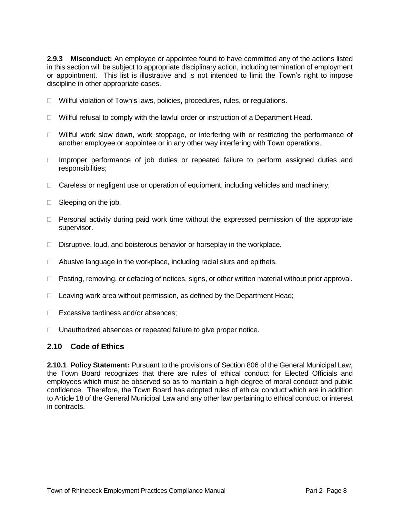**2.9.3 Misconduct:** An employee or appointee found to have committed any of the actions listed in this section will be subject to appropriate disciplinary action, including termination of employment or appointment. This list is illustrative and is not intended to limit the Town's right to impose discipline in other appropriate cases.

- □ Willful violation of Town's laws, policies, procedures, rules, or regulations.
- $\Box$  Willful refusal to comply with the lawful order or instruction of a Department Head.
- $\Box$  Willful work slow down, work stoppage, or interfering with or restricting the performance of another employee or appointee or in any other way interfering with Town operations.
- $\Box$  Improper performance of job duties or repeated failure to perform assigned duties and responsibilities;
- $\Box$  Careless or negligent use or operation of equipment, including vehicles and machinery;
- □ Sleeping on the job.
- $\Box$  Personal activity during paid work time without the expressed permission of the appropriate supervisor.
- □ Disruptive, loud, and boisterous behavior or horseplay in the workplace.
- $\Box$  Abusive language in the workplace, including racial slurs and epithets.
- $\Box$  Posting, removing, or defacing of notices, signs, or other written material without prior approval.
- $\Box$  Leaving work area without permission, as defined by the Department Head;
- □ Excessive tardiness and/or absences:
- □ Unauthorized absences or repeated failure to give proper notice.

#### **2.10 Code of Ethics**

**2.10.1 Policy Statement:** Pursuant to the provisions of Section 806 of the General Municipal Law, the Town Board recognizes that there are rules of ethical conduct for Elected Officials and employees which must be observed so as to maintain a high degree of moral conduct and public confidence. Therefore, the Town Board has adopted rules of ethical conduct which are in addition to Article 18 of the General Municipal Law and any other law pertaining to ethical conduct or interest in contracts.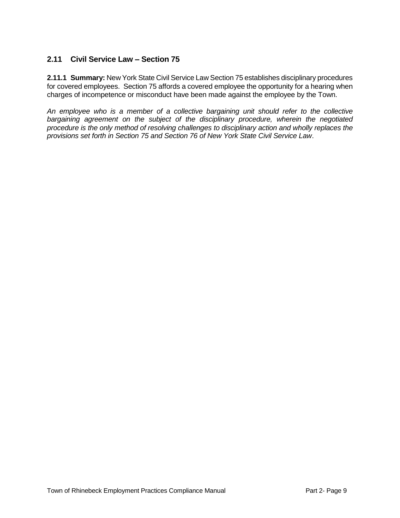#### **2.11 Civil Service Law – Section 75**

**2.11.1 Summary:** New York State Civil Service Law Section 75 establishes disciplinary procedures for covered employees. Section 75 affords a covered employee the opportunity for a hearing when charges of incompetence or misconduct have been made against the employee by the Town.

*An employee who is a member of a collective bargaining unit should refer to the collective bargaining agreement on the subject of the disciplinary procedure, wherein the negotiated procedure is the only method of resolving challenges to disciplinary action and wholly replaces the provisions set forth in Section 75 and Section 76 of New York State Civil Service Law*.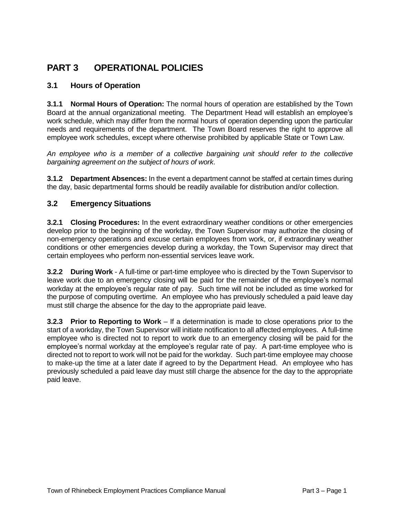## **PART 3 OPERATIONAL POLICIES**

#### **3.1 Hours of Operation**

**3.1.1 Normal Hours of Operation:** The normal hours of operation are established by the Town Board at the annual organizational meeting. The Department Head will establish an employee's work schedule, which may differ from the normal hours of operation depending upon the particular needs and requirements of the department. The Town Board reserves the right to approve all employee work schedules, except where otherwise prohibited by applicable State or Town Law.

*An employee who is a member of a collective bargaining unit should refer to the collective bargaining agreement on the subject of hours of work*.

**3.1.2 Department Absences:** In the event a department cannot be staffed at certain times during the day, basic departmental forms should be readily available for distribution and/or collection.

#### **3.2 Emergency Situations**

**3.2.1 Closing Procedures:** In the event extraordinary weather conditions or other emergencies develop prior to the beginning of the workday, the Town Supervisor may authorize the closing of non-emergency operations and excuse certain employees from work, or, if extraordinary weather conditions or other emergencies develop during a workday, the Town Supervisor may direct that certain employees who perform non-essential services leave work.

**3.2.2 During Work** - A full-time or part-time employee who is directed by the Town Supervisor to leave work due to an emergency closing will be paid for the remainder of the employee's normal workday at the employee's regular rate of pay. Such time will not be included as time worked for the purpose of computing overtime. An employee who has previously scheduled a paid leave day must still charge the absence for the day to the appropriate paid leave.

**3.2.3 Prior to Reporting to Work** – If a determination is made to close operations prior to the start of a workday, the Town Supervisor will initiate notification to all affected employees. A full-time employee who is directed not to report to work due to an emergency closing will be paid for the employee's normal workday at the employee's regular rate of pay. A part-time employee who is directed not to report to work will not be paid for the workday. Such part-time employee may choose to make-up the time at a later date if agreed to by the Department Head. An employee who has previously scheduled a paid leave day must still charge the absence for the day to the appropriate paid leave.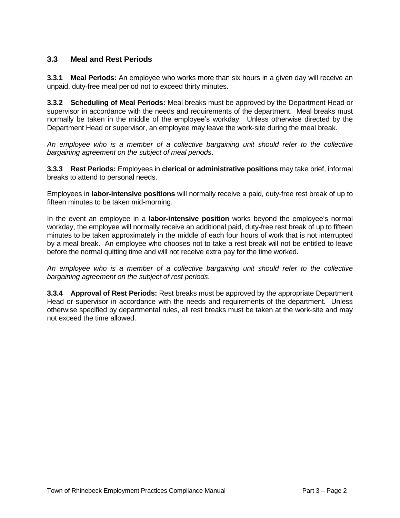#### **3.3 Meal and Rest Periods**

**3.3.1 Meal Periods:** An employee who works more than six hours in a given day will receive an unpaid, duty-free meal period not to exceed thirty minutes.

**3.3.2 Scheduling of Meal Periods:** Meal breaks must be approved by the Department Head or supervisor in accordance with the needs and requirements of the department. Meal breaks must normally be taken in the middle of the employee's workday. Unless otherwise directed by the Department Head or supervisor, an employee may leave the work-site during the meal break.

*An employee who is a member of a collective bargaining unit should refer to the collective bargaining agreement on the subject of meal periods*.

**3.3.3 Rest Periods:** Employees in **clerical or administrative positions** may take brief, informal breaks to attend to personal needs.

Employees in **labor-intensive positions** will normally receive a paid, duty-free rest break of up to fifteen minutes to be taken mid-morning.

In the event an employee in a **labor-intensive position** works beyond the employee's normal workday, the employee will normally receive an additional paid, duty-free rest break of up to fifteen minutes to be taken approximately in the middle of each four hours of work that is not interrupted by a meal break. An employee who chooses not to take a rest break will not be entitled to leave before the normal quitting time and will not receive extra pay for the time worked.

*An employee who is a member of a collective bargaining unit should refer to the collective bargaining agreement on the subject of rest periods*.

**3.3.4 Approval of Rest Periods:** Rest breaks must be approved by the appropriate Department Head or supervisor in accordance with the needs and requirements of the department. Unless otherwise specified by departmental rules, all rest breaks must be taken at the work-site and may not exceed the time allowed.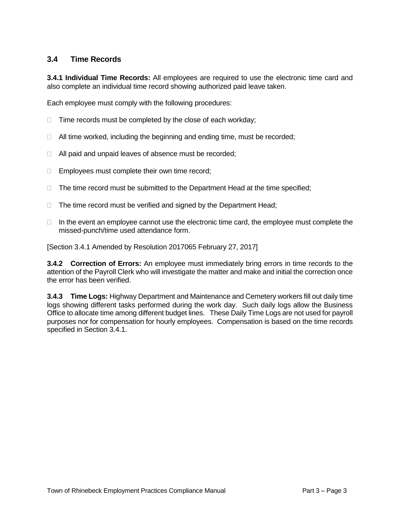#### **3.4 Time Records**

**3.4.1 Individual Time Records:** All employees are required to use the electronic time card and also complete an individual time record showing authorized paid leave taken.

Each employee must comply with the following procedures:

- $\Box$  Time records must be completed by the close of each workday;
- $\Box$  All time worked, including the beginning and ending time, must be recorded;
- $\Box$  All paid and unpaid leaves of absence must be recorded;
- $\Box$  Employees must complete their own time record;
- $\Box$  The time record must be submitted to the Department Head at the time specified;
- $\Box$  The time record must be verified and signed by the Department Head;
- $\Box$  In the event an employee cannot use the electronic time card, the employee must complete the missed-punch/time used attendance form.

[Section 3.4.1 Amended by Resolution 2017065 February 27, 2017]

**3.4.2 Correction of Errors:** An employee must immediately bring errors in time records to the attention of the Payroll Clerk who will investigate the matter and make and initial the correction once the error has been verified.

**3.4.3 Time Logs:** Highway Department and Maintenance and Cemetery workers fill out daily time logs showing different tasks performed during the work day. Such daily logs allow the Business Office to allocate time among different budget lines. These Daily Time Logs are not used for payroll purposes nor for compensation for hourly employees. Compensation is based on the time records specified in Section 3.4.1.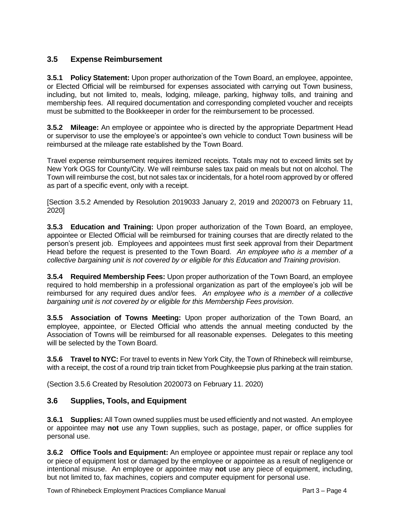#### **3.5 Expense Reimbursement**

**3.5.1 Policy Statement:** Upon proper authorization of the Town Board, an employee, appointee, or Elected Official will be reimbursed for expenses associated with carrying out Town business, including, but not limited to, meals, lodging, mileage, parking, highway tolls, and training and membership fees. All required documentation and corresponding completed voucher and receipts must be submitted to the Bookkeeper in order for the reimbursement to be processed.

**3.5.2 Mileage:** An employee or appointee who is directed by the appropriate Department Head or supervisor to use the employee's or appointee's own vehicle to conduct Town business will be reimbursed at the mileage rate established by the Town Board.

Travel expense reimbursement requires itemized receipts. Totals may not to exceed limits set by New York OGS for County/City. We will reimburse sales tax paid on meals but not on alcohol. The Town will reimburse the cost, but not sales tax or incidentals, for a hotel room approved by or offered as part of a specific event, only with a receipt.

[Section 3.5.2 Amended by Resolution 2019033 January 2, 2019 and 2020073 on February 11, 2020]

**3.5.3 Education and Training:** Upon proper authorization of the Town Board, an employee, appointee or Elected Official will be reimbursed for training courses that are directly related to the person's present job. Employees and appointees must first seek approval from their Department Head before the request is presented to the Town Board. *An employee who is a member of a collective bargaining unit is not covered by or eligible for this Education and Training provision*.

**3.5.4 Required Membership Fees:** Upon proper authorization of the Town Board, an employee required to hold membership in a professional organization as part of the employee's job will be reimbursed for any required dues and/or fees. *An employee who is a member of a collective bargaining unit is not covered by or eligible for this Membership Fees provision*.

**3.5.5 Association of Towns Meeting:** Upon proper authorization of the Town Board, an employee, appointee, or Elected Official who attends the annual meeting conducted by the Association of Towns will be reimbursed for all reasonable expenses. Delegates to this meeting will be selected by the Town Board.

**3.5.6 Travel to NYC:** For travel to events in New York City, the Town of Rhinebeck will reimburse, with a receipt, the cost of a round trip train ticket from Poughkeepsie plus parking at the train station.

(Section 3.5.6 Created by Resolution 2020073 on February 11. 2020)

#### **3.6 Supplies, Tools, and Equipment**

**3.6.1 Supplies:** All Town owned supplies must be used efficiently and not wasted. An employee or appointee may **not** use any Town supplies, such as postage, paper, or office supplies for personal use.

**3.6.2 Office Tools and Equipment:** An employee or appointee must repair or replace any tool or piece of equipment lost or damaged by the employee or appointee as a result of negligence or intentional misuse. An employee or appointee may **not** use any piece of equipment, including, but not limited to, fax machines, copiers and computer equipment for personal use.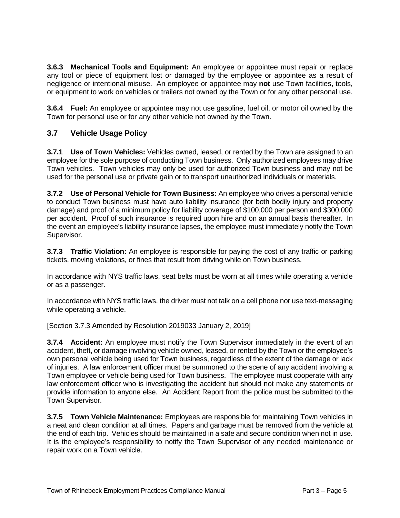**3.6.3 Mechanical Tools and Equipment:** An employee or appointee must repair or replace any tool or piece of equipment lost or damaged by the employee or appointee as a result of negligence or intentional misuse. An employee or appointee may **not** use Town facilities, tools, or equipment to work on vehicles or trailers not owned by the Town or for any other personal use.

**3.6.4 Fuel:** An employee or appointee may not use gasoline, fuel oil, or motor oil owned by the Town for personal use or for any other vehicle not owned by the Town.

#### **3.7 Vehicle Usage Policy**

**3.7.1 Use of Town Vehicles:** Vehicles owned, leased, or rented by the Town are assigned to an employee for the sole purpose of conducting Town business. Only authorized employees may drive Town vehicles. Town vehicles may only be used for authorized Town business and may not be used for the personal use or private gain or to transport unauthorized individuals or materials.

**3.7.2 Use of Personal Vehicle for Town Business:** An employee who drives a personal vehicle to conduct Town business must have auto liability insurance (for both bodily injury and property damage) and proof of a minimum policy for liability coverage of \$100,000 per person and \$300,000 per accident. Proof of such insurance is required upon hire and on an annual basis thereafter. In the event an employee's liability insurance lapses, the employee must immediately notify the Town Supervisor.

**3.7.3 Traffic Violation:** An employee is responsible for paying the cost of any traffic or parking tickets, moving violations, or fines that result from driving while on Town business.

In accordance with NYS traffic laws, seat belts must be worn at all times while operating a vehicle or as a passenger.

In accordance with NYS traffic laws, the driver must not talk on a cell phone nor use text-messaging while operating a vehicle.

[Section 3.7.3 Amended by Resolution 2019033 January 2, 2019]

**3.7.4 Accident:** An employee must notify the Town Supervisor immediately in the event of an accident, theft, or damage involving vehicle owned, leased, or rented by the Town or the employee's own personal vehicle being used for Town business, regardless of the extent of the damage or lack of injuries. A law enforcement officer must be summoned to the scene of any accident involving a Town employee or vehicle being used for Town business. The employee must cooperate with any law enforcement officer who is investigating the accident but should not make any statements or provide information to anyone else. An Accident Report from the police must be submitted to the Town Supervisor.

**3.7.5 Town Vehicle Maintenance:** Employees are responsible for maintaining Town vehicles in a neat and clean condition at all times. Papers and garbage must be removed from the vehicle at the end of each trip. Vehicles should be maintained in a safe and secure condition when not in use. It is the employee's responsibility to notify the Town Supervisor of any needed maintenance or repair work on a Town vehicle.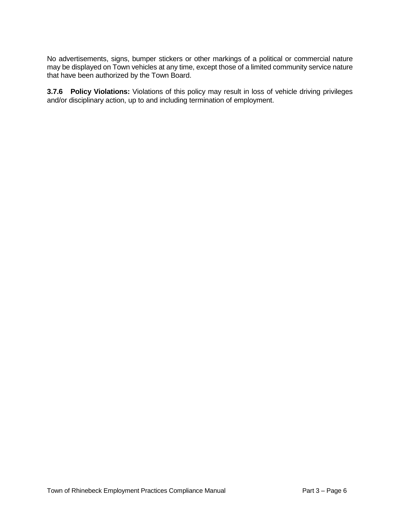No advertisements, signs, bumper stickers or other markings of a political or commercial nature may be displayed on Town vehicles at any time, except those of a limited community service nature that have been authorized by the Town Board.

**3.7.6 Policy Violations:** Violations of this policy may result in loss of vehicle driving privileges and/or disciplinary action, up to and including termination of employment.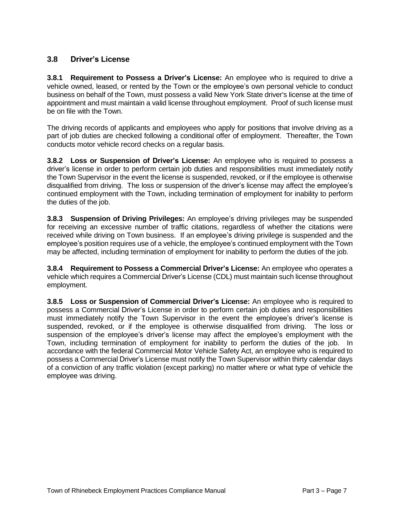#### **3.8 Driver's License**

**3.8.1 Requirement to Possess a Driver's License:** An employee who is required to drive a vehicle owned, leased, or rented by the Town or the employee's own personal vehicle to conduct business on behalf of the Town, must possess a valid New York State driver's license at the time of appointment and must maintain a valid license throughout employment. Proof of such license must be on file with the Town.

The driving records of applicants and employees who apply for positions that involve driving as a part of job duties are checked following a conditional offer of employment. Thereafter, the Town conducts motor vehicle record checks on a regular basis.

**3.8.2 Loss or Suspension of Driver's License:** An employee who is required to possess a driver's license in order to perform certain job duties and responsibilities must immediately notify the Town Supervisor in the event the license is suspended, revoked, or if the employee is otherwise disqualified from driving. The loss or suspension of the driver's license may affect the employee's continued employment with the Town, including termination of employment for inability to perform the duties of the job.

**3.8.3 Suspension of Driving Privileges:** An employee's driving privileges may be suspended for receiving an excessive number of traffic citations, regardless of whether the citations were received while driving on Town business. If an employee's driving privilege is suspended and the employee's position requires use of a vehicle, the employee's continued employment with the Town may be affected, including termination of employment for inability to perform the duties of the job.

**3.8.4 Requirement to Possess a Commercial Driver's License:** An employee who operates a vehicle which requires a Commercial Driver's License (CDL) must maintain such license throughout employment.

**3.8.5 Loss or Suspension of Commercial Driver's License:** An employee who is required to possess a Commercial Driver's License in order to perform certain job duties and responsibilities must immediately notify the Town Supervisor in the event the employee's driver's license is suspended, revoked, or if the employee is otherwise disqualified from driving. The loss or suspension of the employee's driver's license may affect the employee's employment with the Town, including termination of employment for inability to perform the duties of the job. In accordance with the federal Commercial Motor Vehicle Safety Act, an employee who is required to possess a Commercial Driver's License must notify the Town Supervisor within thirty calendar days of a conviction of any traffic violation (except parking) no matter where or what type of vehicle the employee was driving.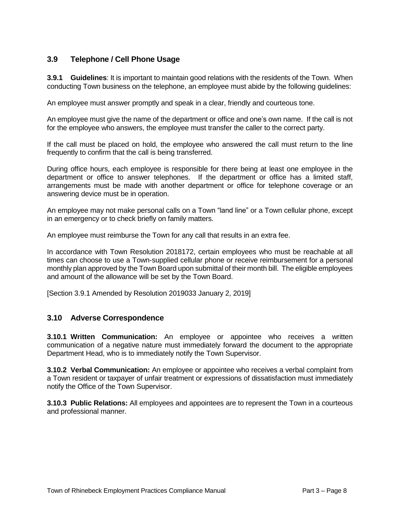#### **3.9 Telephone / Cell Phone Usage**

**3.9.1 Guidelines**: It is important to maintain good relations with the residents of the Town. When conducting Town business on the telephone, an employee must abide by the following guidelines:

An employee must answer promptly and speak in a clear, friendly and courteous tone.

An employee must give the name of the department or office and one's own name. If the call is not for the employee who answers, the employee must transfer the caller to the correct party.

If the call must be placed on hold, the employee who answered the call must return to the line frequently to confirm that the call is being transferred.

During office hours, each employee is responsible for there being at least one employee in the department or office to answer telephones. If the department or office has a limited staff, arrangements must be made with another department or office for telephone coverage or an answering device must be in operation.

An employee may not make personal calls on a Town "land line" or a Town cellular phone, except in an emergency or to check briefly on family matters.

An employee must reimburse the Town for any call that results in an extra fee.

In accordance with Town Resolution 2018172, certain employees who must be reachable at all times can choose to use a Town-supplied cellular phone or receive reimbursement for a personal monthly plan approved by the Town Board upon submittal of their month bill. The eligible employees and amount of the allowance will be set by the Town Board.

[Section 3.9.1 Amended by Resolution 2019033 January 2, 2019]

#### **3.10 Adverse Correspondence**

**3.10.1 Written Communication:** An employee or appointee who receives a written communication of a negative nature must immediately forward the document to the appropriate Department Head, who is to immediately notify the Town Supervisor.

**3.10.2 Verbal Communication:** An employee or appointee who receives a verbal complaint from a Town resident or taxpayer of unfair treatment or expressions of dissatisfaction must immediately notify the Office of the Town Supervisor.

**3.10.3 Public Relations:** All employees and appointees are to represent the Town in a courteous and professional manner.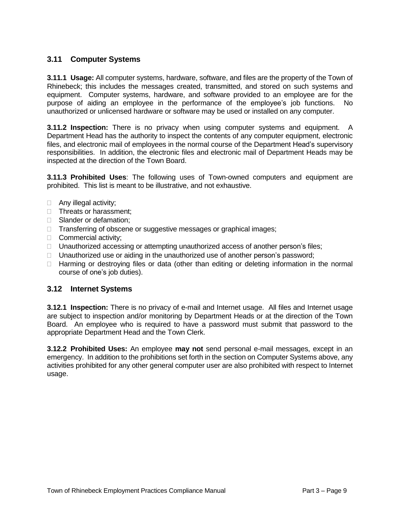#### **3.11 Computer Systems**

**3.11.1 Usage:** All computer systems, hardware, software, and files are the property of the Town of Rhinebeck; this includes the messages created, transmitted, and stored on such systems and equipment. Computer systems, hardware, and software provided to an employee are for the purpose of aiding an employee in the performance of the employee's job functions. No unauthorized or unlicensed hardware or software may be used or installed on any computer.

**3.11.2 Inspection:** There is no privacy when using computer systems and equipment. A Department Head has the authority to inspect the contents of any computer equipment, electronic files, and electronic mail of employees in the normal course of the Department Head's supervisory responsibilities. In addition, the electronic files and electronic mail of Department Heads may be inspected at the direction of the Town Board.

**3.11.3 Prohibited Uses**: The following uses of Town-owned computers and equipment are prohibited. This list is meant to be illustrative, and not exhaustive.

- Any illegal activity;
- □ Threats or harassment;
- □ Slander or defamation:
- □ Transferring of obscene or suggestive messages or graphical images;
- □ Commercial activity;
- $\Box$  Unauthorized accessing or attempting unauthorized access of another person's files;
- $\Box$  Unauthorized use or aiding in the unauthorized use of another person's password;
- $\Box$  Harming or destroving files or data (other than editing or deleting information in the normal course of one's job duties).

#### **3.12 Internet Systems**

**3.12.1 Inspection:** There is no privacy of e-mail and Internet usage. All files and Internet usage are subject to inspection and/or monitoring by Department Heads or at the direction of the Town Board. An employee who is required to have a password must submit that password to the appropriate Department Head and the Town Clerk.

**3.12.2 Prohibited Uses:** An employee **may not** send personal e-mail messages, except in an emergency. In addition to the prohibitions set forth in the section on Computer Systems above, any activities prohibited for any other general computer user are also prohibited with respect to Internet usage.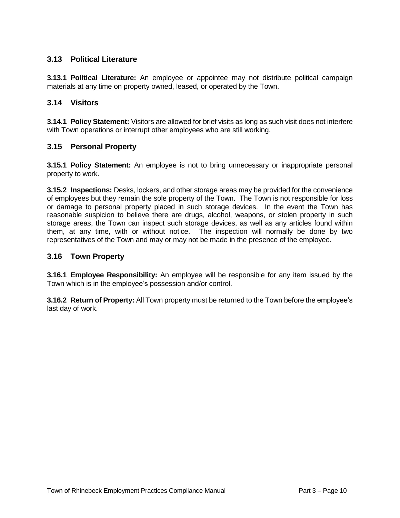#### **3.13 Political Literature**

**3.13.1 Political Literature:** An employee or appointee may not distribute political campaign materials at any time on property owned, leased, or operated by the Town.

#### **3.14 Visitors**

**3.14.1 Policy Statement:** Visitors are allowed for brief visits as long as such visit does not interfere with Town operations or interrupt other employees who are still working.

#### **3.15 Personal Property**

**3.15.1 Policy Statement:** An employee is not to bring unnecessary or inappropriate personal property to work.

**3.15.2 Inspections:** Desks, lockers, and other storage areas may be provided for the convenience of employees but they remain the sole property of the Town. The Town is not responsible for loss or damage to personal property placed in such storage devices. In the event the Town has reasonable suspicion to believe there are drugs, alcohol, weapons, or stolen property in such storage areas, the Town can inspect such storage devices, as well as any articles found within them, at any time, with or without notice. The inspection will normally be done by two representatives of the Town and may or may not be made in the presence of the employee.

#### **3.16 Town Property**

**3.16.1 Employee Responsibility:** An employee will be responsible for any item issued by the Town which is in the employee's possession and/or control.

**3.16.2 Return of Property:** All Town property must be returned to the Town before the employee's last day of work.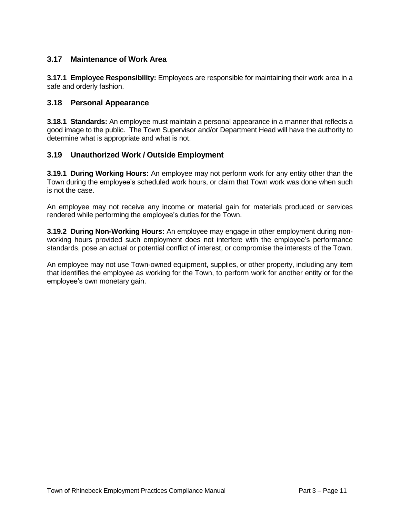#### **3.17 Maintenance of Work Area**

**3.17.1 Employee Responsibility:** Employees are responsible for maintaining their work area in a safe and orderly fashion.

#### **3.18 Personal Appearance**

**3.18.1 Standards:** An employee must maintain a personal appearance in a manner that reflects a good image to the public. The Town Supervisor and/or Department Head will have the authority to determine what is appropriate and what is not.

#### **3.19 Unauthorized Work / Outside Employment**

**3.19.1 During Working Hours:** An employee may not perform work for any entity other than the Town during the employee's scheduled work hours, or claim that Town work was done when such is not the case.

An employee may not receive any income or material gain for materials produced or services rendered while performing the employee's duties for the Town.

**3.19.2 During Non-Working Hours:** An employee may engage in other employment during nonworking hours provided such employment does not interfere with the employee's performance standards, pose an actual or potential conflict of interest, or compromise the interests of the Town.

An employee may not use Town-owned equipment, supplies, or other property, including any item that identifies the employee as working for the Town, to perform work for another entity or for the employee's own monetary gain.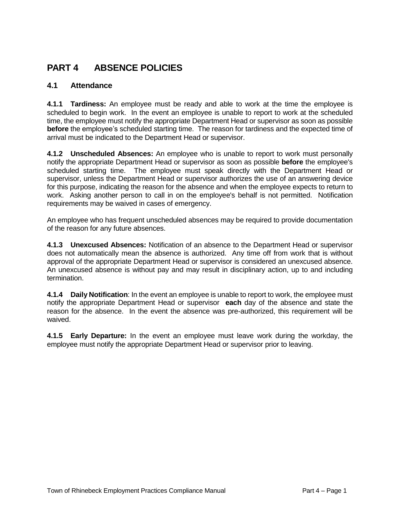## **PART 4 ABSENCE POLICIES**

#### **4.1 Attendance**

**4.1.1 Tardiness:** An employee must be ready and able to work at the time the employee is scheduled to begin work. In the event an employee is unable to report to work at the scheduled time, the employee must notify the appropriate Department Head or supervisor as soon as possible **before** the employee's scheduled starting time. The reason for tardiness and the expected time of arrival must be indicated to the Department Head or supervisor.

**4.1.2 Unscheduled Absences:** An employee who is unable to report to work must personally notify the appropriate Department Head or supervisor as soon as possible **before** the employee's scheduled starting time. The employee must speak directly with the Department Head or supervisor, unless the Department Head or supervisor authorizes the use of an answering device for this purpose, indicating the reason for the absence and when the employee expects to return to work. Asking another person to call in on the employee's behalf is not permitted. Notification requirements may be waived in cases of emergency.

An employee who has frequent unscheduled absences may be required to provide documentation of the reason for any future absences.

**4.1.3 Unexcused Absences:** Notification of an absence to the Department Head or supervisor does not automatically mean the absence is authorized. Any time off from work that is without approval of the appropriate Department Head or supervisor is considered an unexcused absence. An unexcused absence is without pay and may result in disciplinary action, up to and including termination.

**4.1.4 Daily Notification**: In the event an employee is unable to report to work, the employee must notify the appropriate Department Head or supervisor **each** day of the absence and state the reason for the absence. In the event the absence was pre-authorized, this requirement will be waived.

**4.1.5 Early Departure:** In the event an employee must leave work during the workday, the employee must notify the appropriate Department Head or supervisor prior to leaving.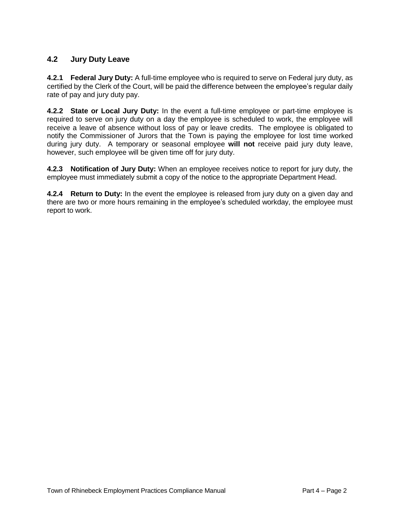#### **4.2 Jury Duty Leave**

**4.2.1 Federal Jury Duty:** A full-time employee who is required to serve on Federal jury duty, as certified by the Clerk of the Court, will be paid the difference between the employee's regular daily rate of pay and jury duty pay.

**4.2.2 State or Local Jury Duty:** In the event a full-time employee or part-time employee is required to serve on jury duty on a day the employee is scheduled to work, the employee will receive a leave of absence without loss of pay or leave credits. The employee is obligated to notify the Commissioner of Jurors that the Town is paying the employee for lost time worked during jury duty. A temporary or seasonal employee **will not** receive paid jury duty leave, however, such employee will be given time off for jury duty.

**4.2.3 Notification of Jury Duty:** When an employee receives notice to report for jury duty, the employee must immediately submit a copy of the notice to the appropriate Department Head.

**4.2.4 Return to Duty:** In the event the employee is released from jury duty on a given day and there are two or more hours remaining in the employee's scheduled workday, the employee must report to work.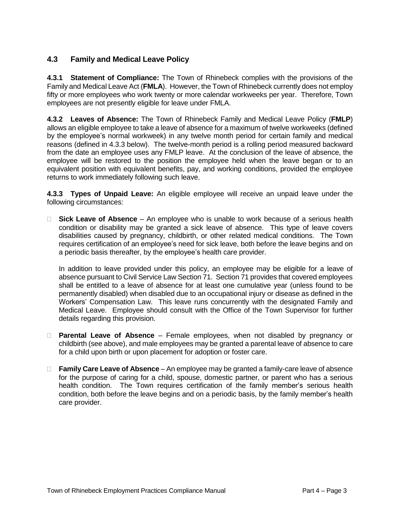#### **4.3 Family and Medical Leave Policy**

**4.3.1 Statement of Compliance:** The Town of Rhinebeck complies with the provisions of the Family and Medical Leave Act (**FMLA**). However, the Town of Rhinebeck currently does not employ fifty or more employees who work twenty or more calendar workweeks per year. Therefore, Town employees are not presently eligible for leave under FMLA.

**4.3.2 Leaves of Absence:** The Town of Rhinebeck Family and Medical Leave Policy (**FMLP**) allows an eligible employee to take a leave of absence for a maximum of twelve workweeks (defined by the employee's normal workweek) in any twelve month period for certain family and medical reasons (defined in 4.3.3 below). The twelve-month period is a rolling period measured backward from the date an employee uses any FMLP leave. At the conclusion of the leave of absence, the employee will be restored to the position the employee held when the leave began or to an equivalent position with equivalent benefits, pay, and working conditions, provided the employee returns to work immediately following such leave.

**4.3.3 Types of Unpaid Leave:** An eligible employee will receive an unpaid leave under the following circumstances:

 **Sick Leave of Absence** – An employee who is unable to work because of a serious health condition or disability may be granted a sick leave of absence. This type of leave covers disabilities caused by pregnancy, childbirth, or other related medical conditions. The Town requires certification of an employee's need for sick leave, both before the leave begins and on a periodic basis thereafter, by the employee's health care provider.

In addition to leave provided under this policy, an employee may be eligible for a leave of absence pursuant to Civil Service Law Section 71. Section 71 provides that covered employees shall be entitled to a leave of absence for at least one cumulative year (unless found to be permanently disabled) when disabled due to an occupational injury or disease as defined in the Workers' Compensation Law. This leave runs concurrently with the designated Family and Medical Leave. Employee should consult with the Office of the Town Supervisor for further details regarding this provision.

- **Parental Leave of Absence** Female employees, when not disabled by pregnancy or childbirth (see above), and male employees may be granted a parental leave of absence to care for a child upon birth or upon placement for adoption or foster care.
- **Family Care Leave of Absence** An employee may be granted a family-care leave of absence for the purpose of caring for a child, spouse, domestic partner, or parent who has a serious health condition. The Town requires certification of the family member's serious health condition, both before the leave begins and on a periodic basis, by the family member's health care provider.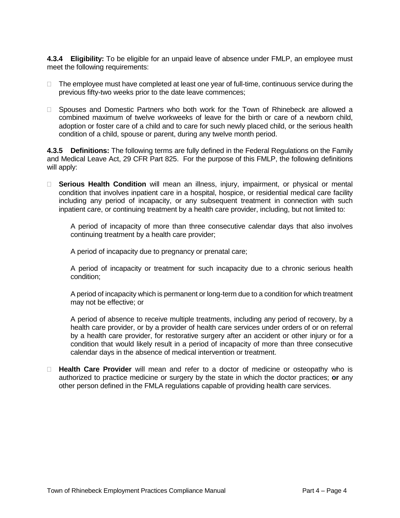**4.3.4 Eligibility:** To be eligible for an unpaid leave of absence under FMLP, an employee must meet the following requirements:

- $\Box$  The employee must have completed at least one year of full-time, continuous service during the previous fifty-two weeks prior to the date leave commences;
- □ Spouses and Domestic Partners who both work for the Town of Rhinebeck are allowed a combined maximum of twelve workweeks of leave for the birth or care of a newborn child, adoption or foster care of a child and to care for such newly placed child, or the serious health condition of a child, spouse or parent, during any twelve month period.

**4.3.5 Definitions:** The following terms are fully defined in the Federal Regulations on the Family and Medical Leave Act, 29 CFR Part 825. For the purpose of this FMLP, the following definitions will apply:

 **Serious Health Condition** will mean an illness, injury, impairment, or physical or mental condition that involves inpatient care in a hospital, hospice, or residential medical care facility including any period of incapacity, or any subsequent treatment in connection with such inpatient care, or continuing treatment by a health care provider, including, but not limited to:

A period of incapacity of more than three consecutive calendar days that also involves continuing treatment by a health care provider;

A period of incapacity due to pregnancy or prenatal care;

A period of incapacity or treatment for such incapacity due to a chronic serious health condition;

A period of incapacity which is permanent or long-term due to a condition for which treatment may not be effective; or

A period of absence to receive multiple treatments, including any period of recovery, by a health care provider, or by a provider of health care services under orders of or on referral by a health care provider, for restorative surgery after an accident or other injury or for a condition that would likely result in a period of incapacity of more than three consecutive calendar days in the absence of medical intervention or treatment.

 **Health Care Provider** will mean and refer to a doctor of medicine or osteopathy who is authorized to practice medicine or surgery by the state in which the doctor practices; **or** any other person defined in the FMLA regulations capable of providing health care services.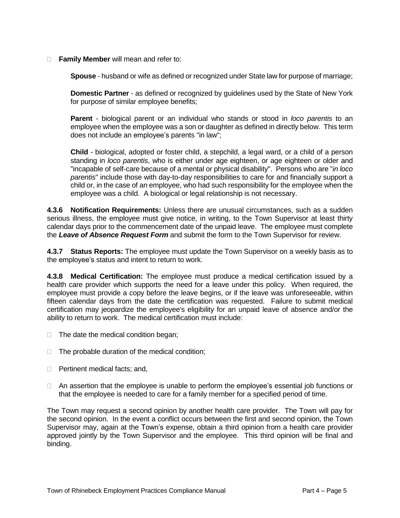#### **Family Member** will mean and refer to:

**Spouse** - husband or wife as defined or recognized under State law for purpose of marriage;

**Domestic Partner** - as defined or recognized by guidelines used by the State of New York for purpose of similar employee benefits;

**Parent** - biological parent or an individual who stands or stood in *loco parentis* to an employee when the employee was a son or daughter as defined in directly below. This term does not include an employee's parents "in law";

**Child** - biological, adopted or foster child, a stepchild, a legal ward, or a child of a person standing in *loco parentis*, who is either under age eighteen, or age eighteen or older and "incapable of self-care because of a mental or physical disability". Persons who are "*in loco parentis*" include those with day-to-day responsibilities to care for and financially support a child or, in the case of an employee, who had such responsibility for the employee when the employee was a child. A biological or legal relationship is not necessary.

**4.3.6 Notification Requirements:** Unless there are unusual circumstances, such as a sudden serious illness, the employee must give notice, in writing, to the Town Supervisor at least thirty calendar days prior to the commencement date of the unpaid leave. The employee must complete the *Leave of Absence Request Form* and submit the form to the Town Supervisor for review.

**4.3.7 Status Reports:** The employee must update the Town Supervisor on a weekly basis as to the employee's status and intent to return to work.

**4.3.8 Medical Certification:** The employee must produce a medical certification issued by a health care provider which supports the need for a leave under this policy. When required, the employee must provide a copy before the leave begins, or if the leave was unforeseeable, within fifteen calendar days from the date the certification was requested. Failure to submit medical certification may jeopardize the employee's eligibility for an unpaid leave of absence and/or the ability to return to work. The medical certification must include:

- $\Box$  The date the medical condition began;
- $\Box$  The probable duration of the medical condition;
- □ Pertinent medical facts; and,
- $\Box$  An assertion that the employee is unable to perform the employee's essential job functions or that the employee is needed to care for a family member for a specified period of time.

The Town may request a second opinion by another health care provider. The Town will pay for the second opinion. In the event a conflict occurs between the first and second opinion, the Town Supervisor may, again at the Town's expense, obtain a third opinion from a health care provider approved jointly by the Town Supervisor and the employee. This third opinion will be final and binding.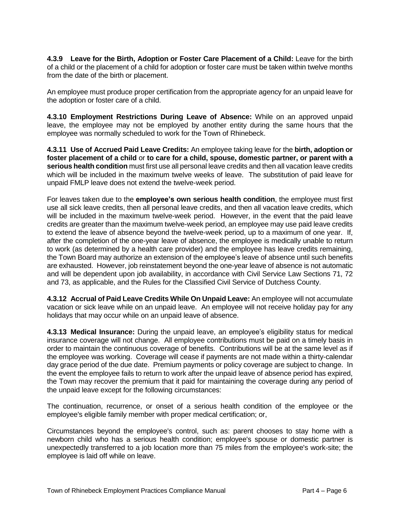**4.3.9 Leave for the Birth, Adoption or Foster Care Placement of a Child:** Leave for the birth of a child or the placement of a child for adoption or foster care must be taken within twelve months from the date of the birth or placement.

An employee must produce proper certification from the appropriate agency for an unpaid leave for the adoption or foster care of a child.

**4.3.10 Employment Restrictions During Leave of Absence:** While on an approved unpaid leave, the employee may not be employed by another entity during the same hours that the employee was normally scheduled to work for the Town of Rhinebeck.

**4.3.11 Use of Accrued Paid Leave Credits:** An employee taking leave for the **birth, adoption or foster placement of a child** or **to care for a child, spouse, domestic partner, or parent with a serious health condition** must first use all personal leave credits and then all vacation leave credits which will be included in the maximum twelve weeks of leave. The substitution of paid leave for unpaid FMLP leave does not extend the twelve-week period.

For leaves taken due to the **employee's own serious health condition**, the employee must first use all sick leave credits, then all personal leave credits, and then all vacation leave credits, which will be included in the maximum twelve-week period. However, in the event that the paid leave credits are greater than the maximum twelve-week period, an employee may use paid leave credits to extend the leave of absence beyond the twelve-week period, up to a maximum of one year. If, after the completion of the one-year leave of absence, the employee is medically unable to return to work (as determined by a health care provider) and the employee has leave credits remaining, the Town Board may authorize an extension of the employee's leave of absence until such benefits are exhausted. However, job reinstatement beyond the one-year leave of absence is not automatic and will be dependent upon job availability, in accordance with Civil Service Law Sections 71, 72 and 73, as applicable, and the Rules for the Classified Civil Service of Dutchess County.

**4.3.12 Accrual of Paid Leave Credits While On Unpaid Leave:** An employee will not accumulate vacation or sick leave while on an unpaid leave. An employee will not receive holiday pay for any holidays that may occur while on an unpaid leave of absence.

**4.3.13 Medical Insurance:** During the unpaid leave, an employee's eligibility status for medical insurance coverage will not change. All employee contributions must be paid on a timely basis in order to maintain the continuous coverage of benefits. Contributions will be at the same level as if the employee was working. Coverage will cease if payments are not made within a thirty-calendar day grace period of the due date. Premium payments or policy coverage are subject to change. In the event the employee fails to return to work after the unpaid leave of absence period has expired, the Town may recover the premium that it paid for maintaining the coverage during any period of the unpaid leave except for the following circumstances:

The continuation, recurrence, or onset of a serious health condition of the employee or the employee's eligible family member with proper medical certification; or,

Circumstances beyond the employee's control, such as: parent chooses to stay home with a newborn child who has a serious health condition; employee's spouse or domestic partner is unexpectedly transferred to a job location more than 75 miles from the employee's work-site; the employee is laid off while on leave.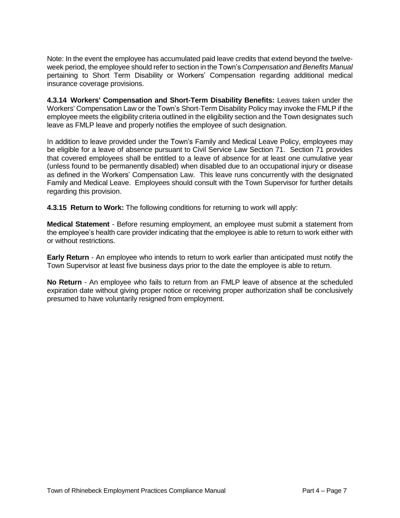Note: In the event the employee has accumulated paid leave credits that extend beyond the twelveweek period, the employee should refer to section in the Town's *Compensation and Benefits Manual* pertaining to Short Term Disability or Workers' Compensation regarding additional medical insurance coverage provisions.

**4.3.14 Workers' Compensation and Short-Term Disability Benefits:** Leaves taken under the Workers' Compensation Law or the Town's Short-Term Disability Policy may invoke the FMLP if the employee meets the eligibility criteria outlined in the eligibility section and the Town designates such leave as FMLP leave and properly notifies the employee of such designation.

In addition to leave provided under the Town's Family and Medical Leave Policy, employees may be eligible for a leave of absence pursuant to Civil Service Law Section 71. Section 71 provides that covered employees shall be entitled to a leave of absence for at least one cumulative year (unless found to be permanently disabled) when disabled due to an occupational injury or disease as defined in the Workers' Compensation Law. This leave runs concurrently with the designated Family and Medical Leave. Employees should consult with the Town Supervisor for further details regarding this provision.

**4.3.15 Return to Work:** The following conditions for returning to work will apply:

**Medical Statement** - Before resuming employment, an employee must submit a statement from the employee's health care provider indicating that the employee is able to return to work either with or without restrictions.

**Early Return** - An employee who intends to return to work earlier than anticipated must notify the Town Supervisor at least five business days prior to the date the employee is able to return.

**No Return** - An employee who fails to return from an FMLP leave of absence at the scheduled expiration date without giving proper notice or receiving proper authorization shall be conclusively presumed to have voluntarily resigned from employment.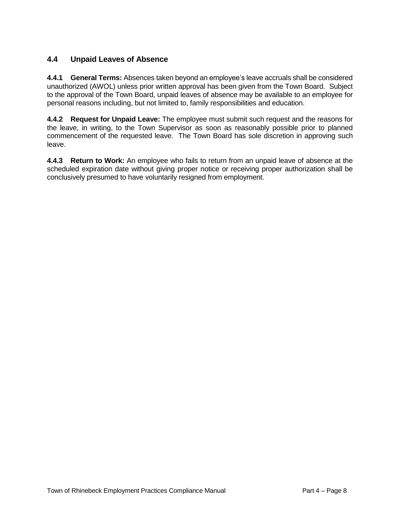#### **4.4 Unpaid Leaves of Absence**

**4.4.1 General Terms:** Absences taken beyond an employee's leave accruals shall be considered unauthorized (AWOL) unless prior written approval has been given from the Town Board. Subject to the approval of the Town Board, unpaid leaves of absence may be available to an employee for personal reasons including, but not limited to, family responsibilities and education.

**4.4.2 Request for Unpaid Leave:** The employee must submit such request and the reasons for the leave, in writing, to the Town Supervisor as soon as reasonably possible prior to planned commencement of the requested leave. The Town Board has sole discretion in approving such leave.

**4.4.3 Return to Work:** An employee who fails to return from an unpaid leave of absence at the scheduled expiration date without giving proper notice or receiving proper authorization shall be conclusively presumed to have voluntarily resigned from employment.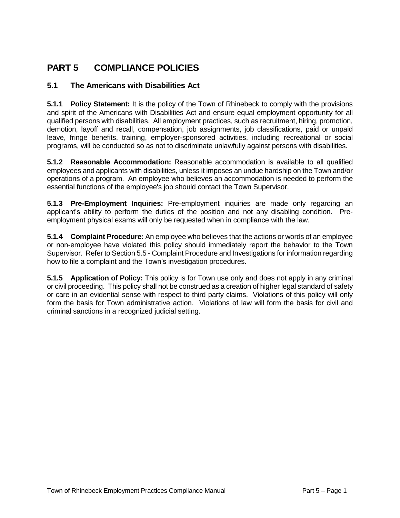# **PART 5 COMPLIANCE POLICIES**

#### **5.1 The Americans with Disabilities Act**

**5.1.1 Policy Statement:** It is the policy of the Town of Rhinebeck to comply with the provisions and spirit of the Americans with Disabilities Act and ensure equal employment opportunity for all qualified persons with disabilities. All employment practices, such as recruitment, hiring, promotion, demotion, layoff and recall, compensation, job assignments, job classifications, paid or unpaid leave, fringe benefits, training, employer-sponsored activities, including recreational or social programs, will be conducted so as not to discriminate unlawfully against persons with disabilities.

**5.1.2 Reasonable Accommodation:** Reasonable accommodation is available to all qualified employees and applicants with disabilities, unless it imposes an undue hardship on the Town and/or operations of a program. An employee who believes an accommodation is needed to perform the essential functions of the employee's job should contact the Town Supervisor.

**5.1.3 Pre-Employment Inquiries:** Pre-employment inquiries are made only regarding an applicant's ability to perform the duties of the position and not any disabling condition. Preemployment physical exams will only be requested when in compliance with the law.

**5.1.4 Complaint Procedure:** An employee who believes that the actions or words of an employee or non-employee have violated this policy should immediately report the behavior to the Town Supervisor. Refer to Section 5.5 - Complaint Procedure and Investigations for information regarding how to file a complaint and the Town's investigation procedures.

**5.1.5 Application of Policy:** This policy is for Town use only and does not apply in any criminal or civil proceeding. This policy shall not be construed as a creation of higher legal standard of safety or care in an evidential sense with respect to third party claims. Violations of this policy will only form the basis for Town administrative action. Violations of law will form the basis for civil and criminal sanctions in a recognized judicial setting.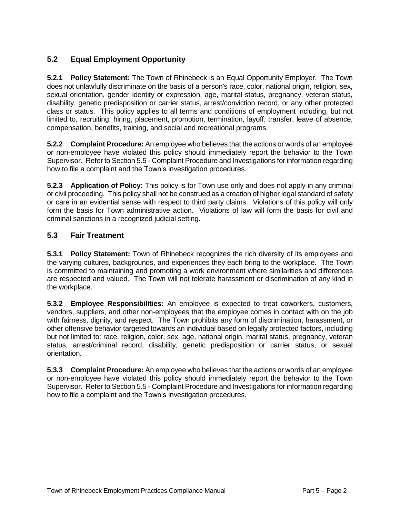#### **5.2 Equal Employment Opportunity**

**5.2.1 Policy Statement:** The Town of Rhinebeck is an Equal Opportunity Employer. The Town does not unlawfully discriminate on the basis of a person's race, color, national origin, religion, sex, sexual orientation, gender identity or expression, age, marital status, pregnancy, veteran status, disability, genetic predisposition or carrier status, arrest/conviction record, or any other protected class or status. This policy applies to all terms and conditions of employment including, but not limited to, recruiting, hiring, placement, promotion, termination, layoff, transfer, leave of absence, compensation, benefits, training, and social and recreational programs.

**5.2.2 Complaint Procedure:** An employee who believes that the actions or words of an employee or non-employee have violated this policy should immediately report the behavior to the Town Supervisor. Refer to Section 5.5 - Complaint Procedure and Investigations for information regarding how to file a complaint and the Town's investigation procedures.

**5.2.3 Application of Policy:** This policy is for Town use only and does not apply in any criminal or civil proceeding. This policy shall not be construed as a creation of higher legal standard of safety or care in an evidential sense with respect to third party claims. Violations of this policy will only form the basis for Town administrative action. Violations of law will form the basis for civil and criminal sanctions in a recognized judicial setting.

#### **5.3 Fair Treatment**

**5.3.1 Policy Statement:** Town of Rhinebeck recognizes the rich diversity of its employees and the varying cultures, backgrounds, and experiences they each bring to the workplace. The Town is committed to maintaining and promoting a work environment where similarities and differences are respected and valued. The Town will not tolerate harassment or discrimination of any kind in the workplace.

**5.3.2 Employee Responsibilities:** An employee is expected to treat coworkers, customers, vendors, suppliers, and other non-employees that the employee comes in contact with on the job with fairness, dignity, and respect. The Town prohibits any form of discrimination, harassment, or other offensive behavior targeted towards an individual based on legally protected factors, including but not limited to: race, religion, color, sex, age, national origin, marital status, pregnancy, veteran status, arrest/criminal record, disability, genetic predisposition or carrier status, or sexual orientation.

**5.3.3 Complaint Procedure:** An employee who believes that the actions or words of an employee or non-employee have violated this policy should immediately report the behavior to the Town Supervisor. Refer to Section 5.5 - Complaint Procedure and Investigations for information regarding how to file a complaint and the Town's investigation procedures.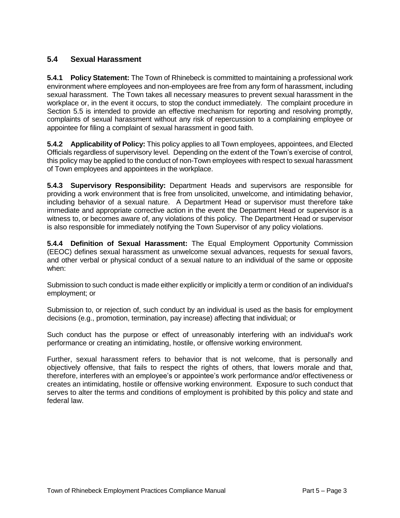#### **5.4 Sexual Harassment**

**5.4.1 Policy Statement:** The Town of Rhinebeck is committed to maintaining a professional work environment where employees and non-employees are free from any form of harassment, including sexual harassment. The Town takes all necessary measures to prevent sexual harassment in the workplace or, in the event it occurs, to stop the conduct immediately. The complaint procedure in Section 5.5 is intended to provide an effective mechanism for reporting and resolving promptly, complaints of sexual harassment without any risk of repercussion to a complaining employee or appointee for filing a complaint of sexual harassment in good faith.

**5.4.2 Applicability of Policy:** This policy applies to all Town employees, appointees, and Elected Officials regardless of supervisory level. Depending on the extent of the Town's exercise of control, this policy may be applied to the conduct of non-Town employees with respect to sexual harassment of Town employees and appointees in the workplace.

**5.4.3 Supervisory Responsibility:** Department Heads and supervisors are responsible for providing a work environment that is free from unsolicited, unwelcome, and intimidating behavior, including behavior of a sexual nature. A Department Head or supervisor must therefore take immediate and appropriate corrective action in the event the Department Head or supervisor is a witness to, or becomes aware of, any violations of this policy. The Department Head or supervisor is also responsible for immediately notifying the Town Supervisor of any policy violations.

**5.4.4 Definition of Sexual Harassment:** The Equal Employment Opportunity Commission (EEOC) defines sexual harassment as unwelcome sexual advances, requests for sexual favors, and other verbal or physical conduct of a sexual nature to an individual of the same or opposite when:

Submission to such conduct is made either explicitly or implicitly a term or condition of an individual's employment; or

Submission to, or rejection of, such conduct by an individual is used as the basis for employment decisions (e.g., promotion, termination, pay increase) affecting that individual; or

Such conduct has the purpose or effect of unreasonably interfering with an individual's work performance or creating an intimidating, hostile, or offensive working environment.

Further, sexual harassment refers to behavior that is not welcome, that is personally and objectively offensive, that fails to respect the rights of others, that lowers morale and that, therefore, interferes with an employee's or appointee's work performance and/or effectiveness or creates an intimidating, hostile or offensive working environment. Exposure to such conduct that serves to alter the terms and conditions of employment is prohibited by this policy and state and federal law.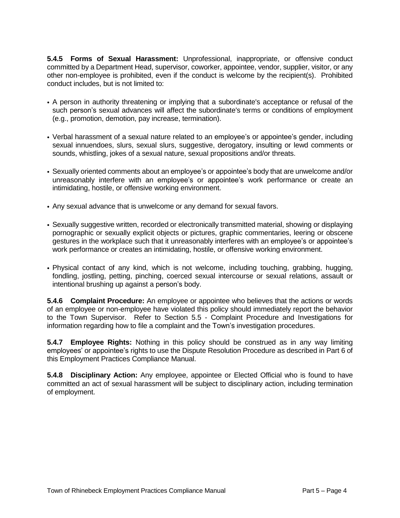**5.4.5 Forms of Sexual Harassment:** Unprofessional, inappropriate, or offensive conduct committed by a Department Head, supervisor, coworker, appointee, vendor, supplier, visitor, or any other non-employee is prohibited, even if the conduct is welcome by the recipient(s). Prohibited conduct includes, but is not limited to:

- A person in authority threatening or implying that a subordinate's acceptance or refusal of the such person's sexual advances will affect the subordinate's terms or conditions of employment (e.g., promotion, demotion, pay increase, termination).
- Verbal harassment of a sexual nature related to an employee's or appointee's gender, including sexual innuendoes, slurs, sexual slurs, suggestive, derogatory, insulting or lewd comments or sounds, whistling, jokes of a sexual nature, sexual propositions and/or threats.
- Sexually oriented comments about an employee's or appointee's body that are unwelcome and/or unreasonably interfere with an employee's or appointee's work performance or create an intimidating, hostile, or offensive working environment.
- Any sexual advance that is unwelcome or any demand for sexual favors.
- Sexually suggestive written, recorded or electronically transmitted material, showing or displaying pornographic or sexually explicit objects or pictures, graphic commentaries, leering or obscene gestures in the workplace such that it unreasonably interferes with an employee's or appointee's work performance or creates an intimidating, hostile, or offensive working environment.
- Physical contact of any kind, which is not welcome, including touching, grabbing, hugging, fondling, jostling, petting, pinching, coerced sexual intercourse or sexual relations, assault or intentional brushing up against a person's body.

**5.4.6 Complaint Procedure:** An employee or appointee who believes that the actions or words of an employee or non-employee have violated this policy should immediately report the behavior to the Town Supervisor. Refer to Section 5.5 - Complaint Procedure and Investigations for information regarding how to file a complaint and the Town's investigation procedures.

**5.4.7 Employee Rights:** Nothing in this policy should be construed as in any way limiting employees' or appointee's rights to use the Dispute Resolution Procedure as described in Part 6 of this Employment Practices Compliance Manual.

**5.4.8 Disciplinary Action:** Any employee, appointee or Elected Official who is found to have committed an act of sexual harassment will be subject to disciplinary action, including termination of employment.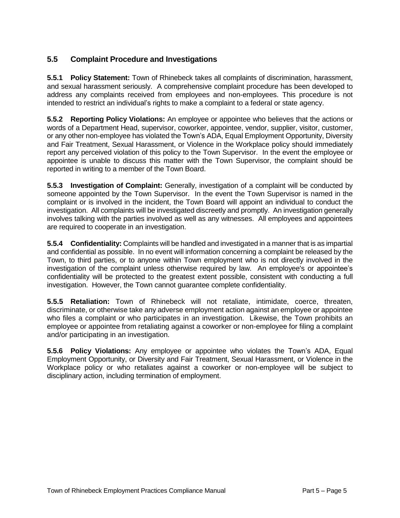#### **5.5 Complaint Procedure and Investigations**

**5.5.1 Policy Statement:** Town of Rhinebeck takes all complaints of discrimination, harassment, and sexual harassment seriously. A comprehensive complaint procedure has been developed to address any complaints received from employees and non-employees. This procedure is not intended to restrict an individual's rights to make a complaint to a federal or state agency.

**5.5.2 Reporting Policy Violations:** An employee or appointee who believes that the actions or words of a Department Head, supervisor, coworker, appointee, vendor, supplier, visitor, customer, or any other non-employee has violated the Town's ADA, Equal Employment Opportunity, Diversity and Fair Treatment, Sexual Harassment, or Violence in the Workplace policy should immediately report any perceived violation of this policy to the Town Supervisor. In the event the employee or appointee is unable to discuss this matter with the Town Supervisor, the complaint should be reported in writing to a member of the Town Board.

**5.5.3 Investigation of Complaint:** Generally, investigation of a complaint will be conducted by someone appointed by the Town Supervisor. In the event the Town Supervisor is named in the complaint or is involved in the incident, the Town Board will appoint an individual to conduct the investigation. All complaints will be investigated discreetly and promptly. An investigation generally involves talking with the parties involved as well as any witnesses. All employees and appointees are required to cooperate in an investigation.

**5.5.4 Confidentiality:** Complaints will be handled and investigated in a manner that is as impartial and confidential as possible. In no event will information concerning a complaint be released by the Town, to third parties, or to anyone within Town employment who is not directly involved in the investigation of the complaint unless otherwise required by law. An employee's or appointee's confidentiality will be protected to the greatest extent possible, consistent with conducting a full investigation. However, the Town cannot guarantee complete confidentiality.

**5.5.5 Retaliation:** Town of Rhinebeck will not retaliate, intimidate, coerce, threaten, discriminate, or otherwise take any adverse employment action against an employee or appointee who files a complaint or who participates in an investigation. Likewise, the Town prohibits an employee or appointee from retaliating against a coworker or non-employee for filing a complaint and/or participating in an investigation.

**5.5.6 Policy Violations:** Any employee or appointee who violates the Town's ADA, Equal Employment Opportunity, or Diversity and Fair Treatment, Sexual Harassment, or Violence in the Workplace policy or who retaliates against a coworker or non-employee will be subject to disciplinary action, including termination of employment.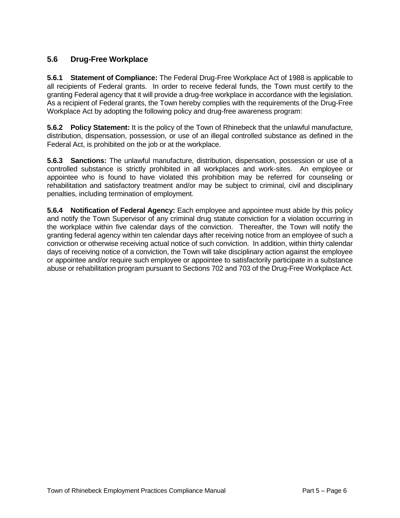#### **5.6 Drug-Free Workplace**

**5.6.1 Statement of Compliance:** The Federal Drug-Free Workplace Act of 1988 is applicable to all recipients of Federal grants. In order to receive federal funds, the Town must certify to the granting Federal agency that it will provide a drug-free workplace in accordance with the legislation. As a recipient of Federal grants, the Town hereby complies with the requirements of the Drug-Free Workplace Act by adopting the following policy and drug-free awareness program:

**5.6.2 Policy Statement:** It is the policy of the Town of Rhinebeck that the unlawful manufacture, distribution, dispensation, possession, or use of an illegal controlled substance as defined in the Federal Act, is prohibited on the job or at the workplace.

**5.6.3 Sanctions:** The unlawful manufacture, distribution, dispensation, possession or use of a controlled substance is strictly prohibited in all workplaces and work-sites. An employee or appointee who is found to have violated this prohibition may be referred for counseling or rehabilitation and satisfactory treatment and/or may be subject to criminal, civil and disciplinary penalties, including termination of employment.

**5.6.4 Notification of Federal Agency:** Each employee and appointee must abide by this policy and notify the Town Supervisor of any criminal drug statute conviction for a violation occurring in the workplace within five calendar days of the conviction. Thereafter, the Town will notify the granting federal agency within ten calendar days after receiving notice from an employee of such a conviction or otherwise receiving actual notice of such conviction. In addition, within thirty calendar days of receiving notice of a conviction, the Town will take disciplinary action against the employee or appointee and/or require such employee or appointee to satisfactorily participate in a substance abuse or rehabilitation program pursuant to Sections 702 and 703 of the Drug-Free Workplace Act.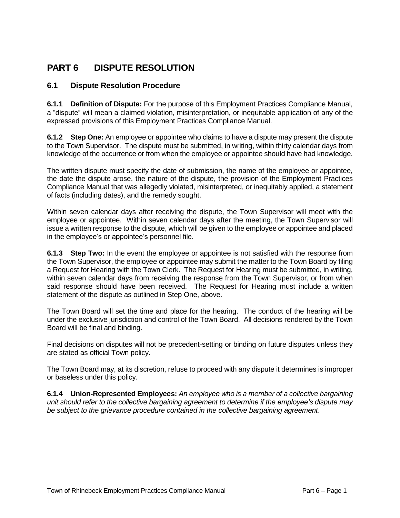## **PART 6 DISPUTE RESOLUTION**

#### **6.1 Dispute Resolution Procedure**

**6.1.1 Definition of Dispute:** For the purpose of this Employment Practices Compliance Manual, a "dispute" will mean a claimed violation, misinterpretation, or inequitable application of any of the expressed provisions of this Employment Practices Compliance Manual.

**6.1.2 Step One:** An employee or appointee who claims to have a dispute may present the dispute to the Town Supervisor. The dispute must be submitted, in writing, within thirty calendar days from knowledge of the occurrence or from when the employee or appointee should have had knowledge.

The written dispute must specify the date of submission, the name of the employee or appointee, the date the dispute arose, the nature of the dispute, the provision of the Employment Practices Compliance Manual that was allegedly violated, misinterpreted, or inequitably applied, a statement of facts (including dates), and the remedy sought.

Within seven calendar days after receiving the dispute, the Town Supervisor will meet with the employee or appointee. Within seven calendar days after the meeting, the Town Supervisor will issue a written response to the dispute, which will be given to the employee or appointee and placed in the employee's or appointee's personnel file.

**6.1.3 Step Two:** In the event the employee or appointee is not satisfied with the response from the Town Supervisor, the employee or appointee may submit the matter to the Town Board by filing a Request for Hearing with the Town Clerk. The Request for Hearing must be submitted, in writing, within seven calendar days from receiving the response from the Town Supervisor, or from when said response should have been received. The Request for Hearing must include a written statement of the dispute as outlined in Step One, above.

The Town Board will set the time and place for the hearing. The conduct of the hearing will be under the exclusive jurisdiction and control of the Town Board. All decisions rendered by the Town Board will be final and binding.

Final decisions on disputes will not be precedent-setting or binding on future disputes unless they are stated as official Town policy.

The Town Board may, at its discretion, refuse to proceed with any dispute it determines is improper or baseless under this policy.

**6.1.4 Union-Represented Employees:** *An employee who is a member of a collective bargaining unit should refer to the collective bargaining agreement to determine if the employee's dispute may be subject to the grievance procedure contained in the collective bargaining agreement*.